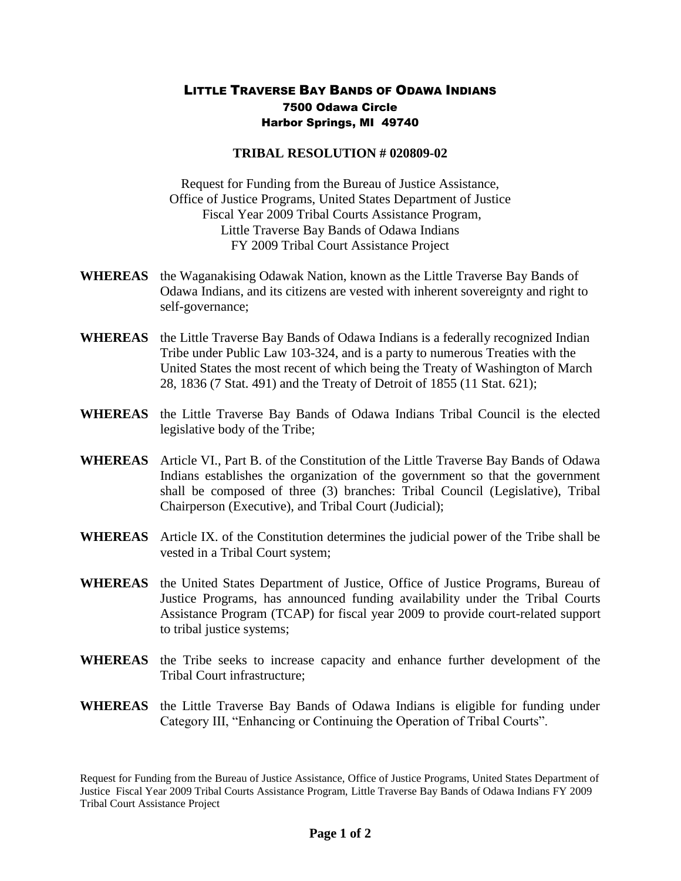## LITTLE TRAVERSE BAY BANDS OF ODAWA INDIANS 7500 Odawa Circle Harbor Springs, MI 49740

## **TRIBAL RESOLUTION # 020809-02**

Request for Funding from the Bureau of Justice Assistance, Office of Justice Programs, United States Department of Justice Fiscal Year 2009 Tribal Courts Assistance Program, Little Traverse Bay Bands of Odawa Indians FY 2009 Tribal Court Assistance Project

- **WHEREAS** the Waganakising Odawak Nation, known as the Little Traverse Bay Bands of Odawa Indians, and its citizens are vested with inherent sovereignty and right to self-governance;
- **WHEREAS** the Little Traverse Bay Bands of Odawa Indians is a federally recognized Indian Tribe under Public Law 103-324, and is a party to numerous Treaties with the United States the most recent of which being the Treaty of Washington of March 28, 1836 (7 Stat. 491) and the Treaty of Detroit of 1855 (11 Stat. 621);
- **WHEREAS** the Little Traverse Bay Bands of Odawa Indians Tribal Council is the elected legislative body of the Tribe;
- **WHEREAS** Article VI., Part B. of the Constitution of the Little Traverse Bay Bands of Odawa Indians establishes the organization of the government so that the government shall be composed of three (3) branches: Tribal Council (Legislative), Tribal Chairperson (Executive), and Tribal Court (Judicial);
- **WHEREAS** Article IX. of the Constitution determines the judicial power of the Tribe shall be vested in a Tribal Court system;
- **WHEREAS** the United States Department of Justice, Office of Justice Programs, Bureau of Justice Programs, has announced funding availability under the Tribal Courts Assistance Program (TCAP) for fiscal year 2009 to provide court-related support to tribal justice systems;
- **WHEREAS** the Tribe seeks to increase capacity and enhance further development of the Tribal Court infrastructure;
- **WHEREAS** the Little Traverse Bay Bands of Odawa Indians is eligible for funding under Category III, "Enhancing or Continuing the Operation of Tribal Courts".

Request for Funding from the Bureau of Justice Assistance, Office of Justice Programs, United States Department of Justice Fiscal Year 2009 Tribal Courts Assistance Program, Little Traverse Bay Bands of Odawa Indians FY 2009 Tribal Court Assistance Project